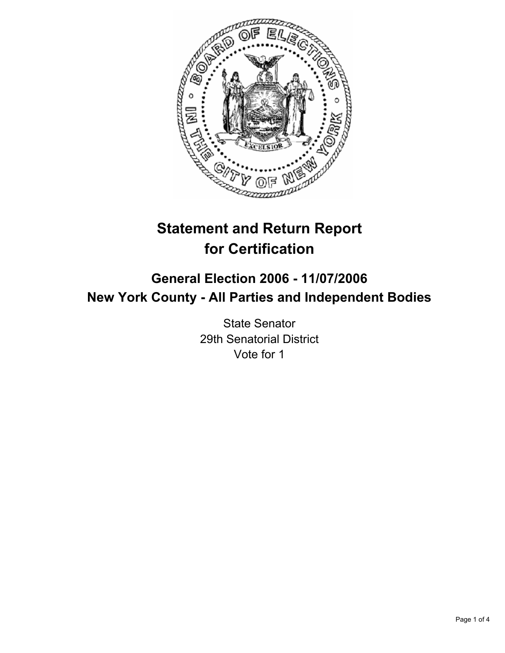

# **Statement and Return Report for Certification**

## **General Election 2006 - 11/07/2006 New York County - All Parties and Independent Bodies**

State Senator 29th Senatorial District Vote for 1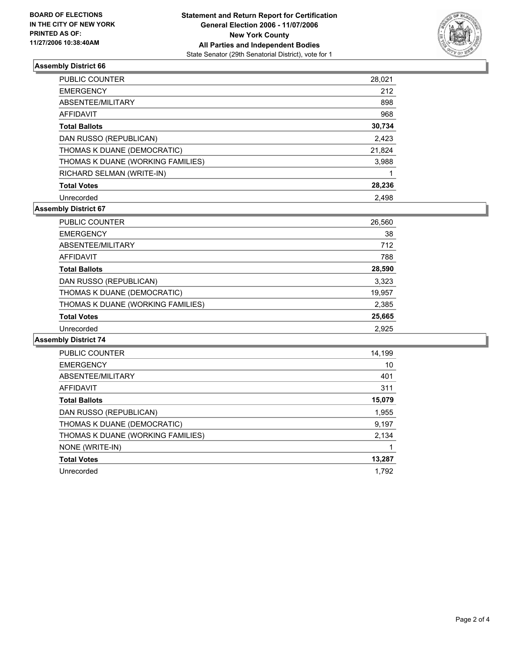

#### **Assembly District 66**

| PUBLIC COUNTER                    | 28,021 |
|-----------------------------------|--------|
| <b>EMERGENCY</b>                  | 212    |
| ABSENTEE/MILITARY                 | 898    |
| <b>AFFIDAVIT</b>                  | 968    |
| <b>Total Ballots</b>              | 30,734 |
| DAN RUSSO (REPUBLICAN)            | 2,423  |
| THOMAS K DUANE (DEMOCRATIC)       | 21,824 |
| THOMAS K DUANE (WORKING FAMILIES) | 3,988  |
| RICHARD SELMAN (WRITE-IN)         |        |
| <b>Total Votes</b>                | 28,236 |
| Unrecorded                        | 2.498  |

### **Assembly District 67**

| PUBLIC COUNTER                    | 26,560 |
|-----------------------------------|--------|
| <b>EMERGENCY</b>                  | 38     |
| ABSENTEE/MILITARY                 | 712    |
| AFFIDAVIT                         | 788    |
| <b>Total Ballots</b>              | 28,590 |
| DAN RUSSO (REPUBLICAN)            | 3,323  |
| THOMAS K DUANE (DEMOCRATIC)       | 19,957 |
| THOMAS K DUANE (WORKING FAMILIES) | 2,385  |
| <b>Total Votes</b>                | 25,665 |
| Unrecorded                        | 2,925  |

### **Assembly District 74**

| <b>PUBLIC COUNTER</b>             | 14,199 |
|-----------------------------------|--------|
| <b>EMERGENCY</b>                  | 10     |
| ABSENTEE/MILITARY                 | 401    |
| AFFIDAVIT                         | 311    |
| <b>Total Ballots</b>              | 15,079 |
| DAN RUSSO (REPUBLICAN)            | 1,955  |
| THOMAS K DUANE (DEMOCRATIC)       | 9,197  |
| THOMAS K DUANE (WORKING FAMILIES) | 2,134  |
| NONE (WRITE-IN)                   |        |
| <b>Total Votes</b>                | 13,287 |
| Unrecorded                        | 1.792  |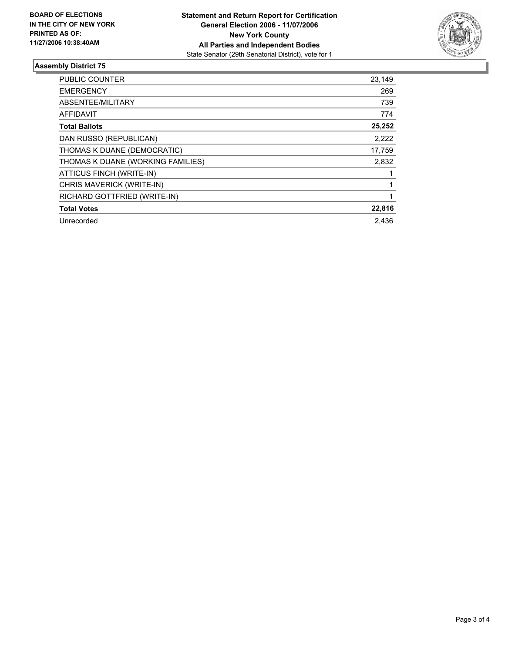

#### **Assembly District 75**

| PUBLIC COUNTER                    | 23,149 |
|-----------------------------------|--------|
| <b>EMERGENCY</b>                  | 269    |
| ABSENTEE/MILITARY                 | 739    |
| <b>AFFIDAVIT</b>                  | 774    |
| <b>Total Ballots</b>              | 25,252 |
| DAN RUSSO (REPUBLICAN)            | 2,222  |
| THOMAS K DUANE (DEMOCRATIC)       | 17,759 |
| THOMAS K DUANE (WORKING FAMILIES) | 2,832  |
| ATTICUS FINCH (WRITE-IN)          |        |
| CHRIS MAVERICK (WRITE-IN)         |        |
| RICHARD GOTTFRIED (WRITE-IN)      |        |
| <b>Total Votes</b>                | 22,816 |
| Unrecorded                        | 2.436  |